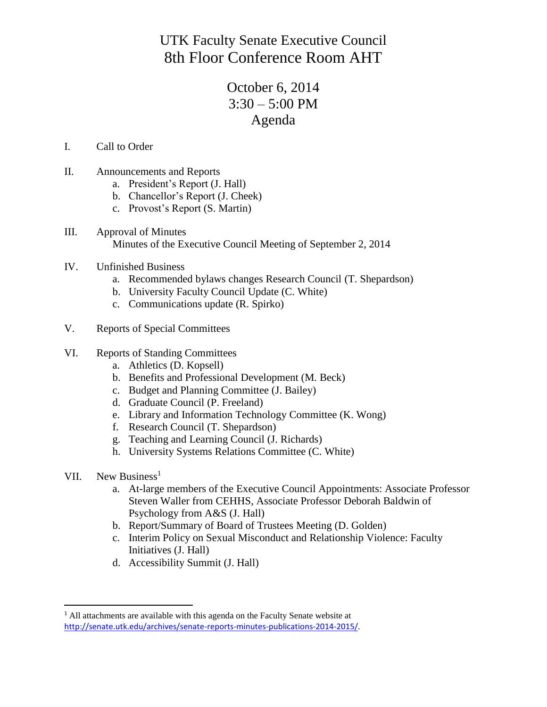UTK Faculty Senate Executive Council 8th Floor Conference Room AHT

## October 6, 2014  $3:30 - 5:00$  PM Agenda

- I. Call to Order
- II. Announcements and Reports
	- a. President's Report (J. Hall)
	- b. Chancellor's Report (J. Cheek)
	- c. Provost's Report (S. Martin)
- III. Approval of Minutes Minutes of the Executive Council Meeting of September 2, 2014
- IV. Unfinished Business
	- a. Recommended bylaws changes Research Council (T. Shepardson)
	- b. University Faculty Council Update (C. White)
	- c. Communications update (R. Spirko)
- V. Reports of Special Committees
- VI. Reports of Standing Committees
	- a. Athletics (D. Kopsell)
	- b. Benefits and Professional Development (M. Beck)
	- c. Budget and Planning Committee (J. Bailey)
	- d. Graduate Council (P. Freeland)
	- e. Library and Information Technology Committee (K. Wong)
	- f. Research Council (T. Shepardson)
	- g. Teaching and Learning Council (J. Richards)
	- h. University Systems Relations Committee (C. White)
- VII. New Business<sup>1</sup>

 $\overline{\phantom{a}}$ 

- a. At-large members of the Executive Council Appointments: Associate Professor Steven Waller from CEHHS, Associate Professor Deborah Baldwin of Psychology from A&S (J. Hall)
- b. Report/Summary of Board of Trustees Meeting (D. Golden)
- c. Interim Policy on Sexual Misconduct and Relationship Violence: Faculty Initiatives (J. Hall)
- d. Accessibility Summit (J. Hall)

<sup>&</sup>lt;sup>1</sup> All attachments are available with this agenda on the Faculty Senate website at <http://senate.utk.edu/archives/senate-reports-minutes-publications-2014-2015/>.